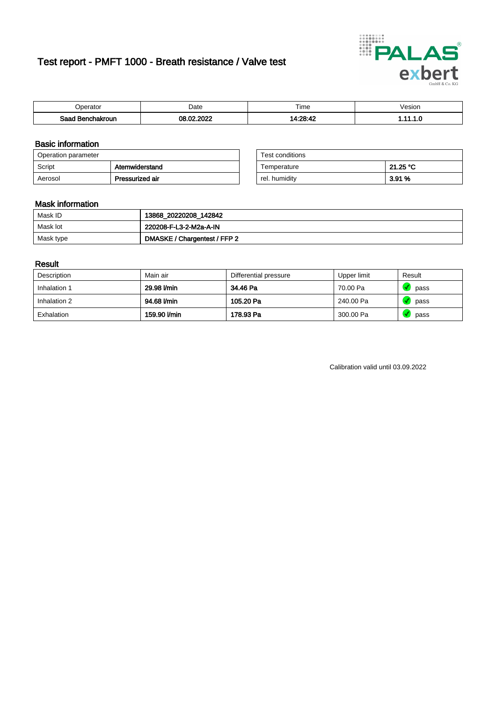# Test report - PMFT 1000 - Breath resistance / Valve test



| berator                      | Date                      | $- \cdot$<br>. ime | /esion |
|------------------------------|---------------------------|--------------------|--------|
| Saad<br><b>chakroun</b><br>. | , nnac<br>ഹ<br>በዖ<br>'UZ. | 11.20.19           | .      |

### Basic information

| Operation parameter |                 | Test conditions |          |
|---------------------|-----------------|-----------------|----------|
| Script              | Atemwiderstand  | Temperature     | 21.25 °C |
| Aerosol             | Pressurized air | rel. humidity   | 3.91 %   |

| Test conditions |          |
|-----------------|----------|
| Temperature     | 21.25 °C |
| rel. humidity   | 3.91 %   |

### Mask information

| Mask ID   | 13868_20220208_142842        |
|-----------|------------------------------|
| Mask lot  | 220208-F-L3-2-M2a-A-IN       |
| Mask type | DMASKE / Chargentest / FFP 2 |

### Result

| Description  | Main air     | Differential pressure | Upper limit | Result |
|--------------|--------------|-----------------------|-------------|--------|
| Inhalation 1 | 29.98 l/min  | 34.46 Pa              | 70.00 Pa    | pass   |
| Inhalation 2 | 94.68 l/min  | 105.20 Pa             | 240.00 Pa   | pass   |
| Exhalation   | 159.90 l/min | 178.93 Pa             | 300.00 Pa   | pass   |

Calibration valid until 03.09.2022